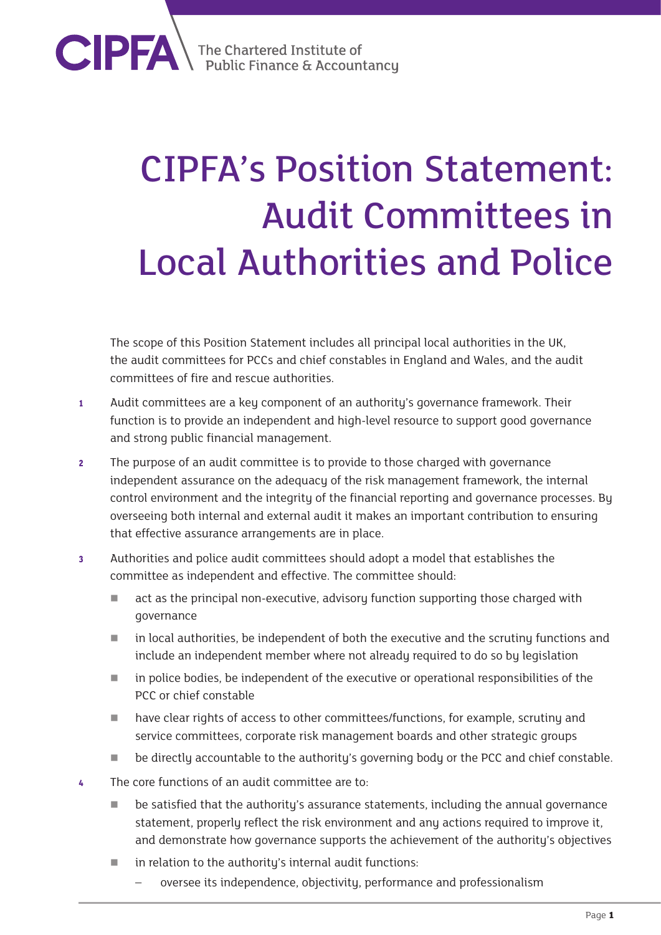**CIPFA** The Chartered Institute of

## CIPFA's Position Statement: Audit Committees in Local Authorities and Police

The scope of this Position Statement includes all principal local authorities in the UK, the audit committees for PCCs and chief constables in England and Wales, and the audit committees of fire and rescue authorities.

- **<sup>1</sup>** Audit committees are a key component of an authority's governance framework. Their function is to provide an independent and high-level resource to support good governance and strong public financial management.
- **<sup>2</sup>** The purpose of an audit committee is to provide to those charged with governance independent assurance on the adequacy of the risk management framework, the internal control environment and the integrity of the financial reporting and governance processes. By overseeing both internal and external audit it makes an important contribution to ensuring that effective assurance arrangements are in place.
- **<sup>3</sup>** Authorities and police audit committees should adopt a model that establishes the committee as independent and effective. The committee should:
	- **act as the principal non-executive, advisory function supporting those charged with** governance
	- in local authorities, be independent of both the executive and the scrutiny functions and include an independent member where not already required to do so by legislation
	- in police bodies, be independent of the executive or operational responsibilities of the PCC or chief constable
	- have clear rights of access to other committees/functions, for example, scrutiny and service committees, corporate risk management boards and other strategic groups
	- be directly accountable to the authority's governing body or the PCC and chief constable.
- **<sup>4</sup>** The core functions of an audit committee are to:
	- be satisfied that the authority's assurance statements, including the annual governance statement, properly reflect the risk environment and any actions required to improve it, and demonstrate how governance supports the achievement of the authority's objectives
	- $\blacksquare$  in relation to the authority's internal audit functions:
		- oversee its independence, objectivity, performance and professionalism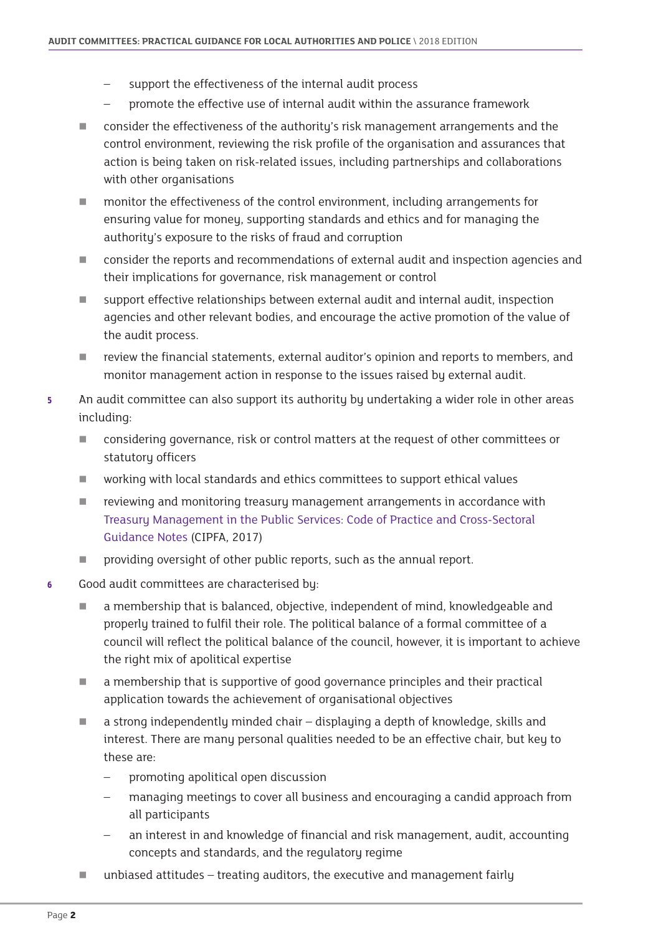- support the effectiveness of the internal audit process
- promote the effective use of internal audit within the assurance framework
- **EXECONSTANCE CONSIDERT** consider the effectiveness of the authority's risk management arrangements and the control environment, reviewing the risk profile of the organisation and assurances that action is being taken on risk-related issues, including partnerships and collaborations with other organisations
- monitor the effectiveness of the control environment, including arrangements for ensuring value for money, supporting standards and ethics and for managing the authority's exposure to the risks of fraud and corruption
- **The consider the reports and recommendations of external audit and inspection agencies and** their implications for governance, risk management or control
- support effective relationships between external audit and internal audit, inspection agencies and other relevant bodies, and encourage the active promotion of the value of the audit process.
- **The review the financial statements, external auditor's opinion and reports to members, and** monitor management action in response to the issues raised by external audit.
- **<sup>5</sup>** An audit committee can also support its authority by undertaking a wider role in other areas including:
	- **EXECONS** considering governance, risk or control matters at the request of other committees or statutory officers
	- working with local standards and ethics committees to support ethical values
	- **F** reviewing and monitoring treasury management arrangements in accordance with [Treasury Management in the Public Services: Code of Practice and Cross-Sectoral](http://www.cipfa.org/policy-and-guidance/publications/t/treasury-management-in-the-public-services-code-of-practice-and-crosssectoral-guidance-notes-2017-edition-online)  [Guidance Notes](http://www.cipfa.org/policy-and-guidance/publications/t/treasury-management-in-the-public-services-code-of-practice-and-crosssectoral-guidance-notes-2017-edition-online) (CIPFA, 2017)
	- **Part over 1** providing oversight of other public reports, such as the annual report.
- **6** Good audit committees are characterised bu:
	- a membership that is balanced, objective, independent of mind, knowledgeable and properly trained to fulfil their role. The political balance of a formal committee of a council will reflect the political balance of the council, however, it is important to achieve the right mix of apolitical expertise
	- a membership that is supportive of good governance principles and their practical application towards the achievement of organisational objectives
	- $\blacksquare$  a strong independently minded chair displaying a depth of knowledge, skills and interest. There are many personal qualities needed to be an effective chair, but key to these are:
		- promoting apolitical open discussion
		- managing meetings to cover all business and encouraging a candid approach from all participants
		- an interest in and knowledge of financial and risk management, audit, accounting concepts and standards, and the regulatory regime
	- $\blacksquare$  unbiased attitudes treating auditors, the executive and management fairly